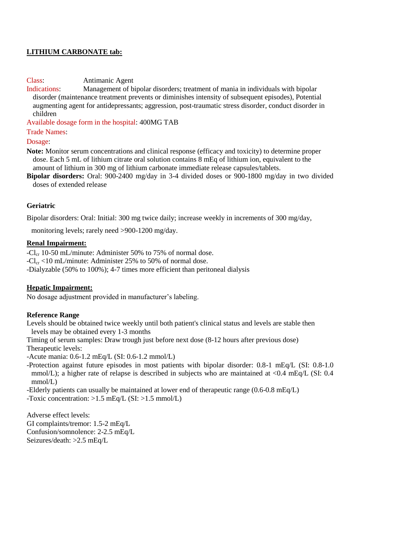# **LITHIUM CARBONATE tab:**

## Class: Antimanic Agent

Indications: Management of bipolar disorders; treatment of mania in individuals with bipolar disorder (maintenance treatment prevents or diminishes intensity of subsequent episodes), Potential augmenting agent for antidepressants; aggression, post-traumatic stress disorder, conduct disorder in children

Available dosage form in the hospital: 400MG TAB

Trade Names:

Dosage:

**Note:** Monitor serum concentrations and clinical response (efficacy and toxicity) to determine proper dose. Each 5 mL of lithium citrate oral solution contains 8 mEq of lithium ion, equivalent to the amount of lithium in 300 mg of lithium carbonate immediate release capsules/tablets.

**Bipolar disorders:** Oral: 900-2400 mg/day in 3-4 divided doses or 900-1800 mg/day in two divided doses of extended release

## **Geriatric**

Bipolar disorders: Oral: Initial: 300 mg twice daily; increase weekly in increments of 300 mg/day,

monitoring levels; rarely need >900-1200 mg/day.

#### **Renal Impairment:**

-Cl<sub>cr</sub> 10-50 mL/minute: Administer 50% to 75% of normal dose.  $-Cl_{cr}$  <10 mL/minute: Administer 25% to 50% of normal dose. -Dialyzable (50% to 100%); 4-7 times more efficient than peritoneal dialysis

## **Hepatic Impairment:**

No dosage adjustment provided in manufacturer's labeling.

#### **Reference Range**

Levels should be obtained twice weekly until both patient's clinical status and levels are stable then levels may be obtained every 1-3 months

Timing of serum samples: Draw trough just before next dose (8-12 hours after previous dose) Therapeutic levels:

-Acute mania: 0.6-1.2 mEq/L (SI: 0.6-1.2 mmol/L)

-Protection against future episodes in most patients with bipolar disorder: 0.8-1 mEq/L (SI: 0.8-1.0 mmol/L); a higher rate of relapse is described in subjects who are maintained at <0.4 mEq/L (SI: 0.4 mmol/L)

-Elderly patients can usually be maintained at lower end of therapeutic range (0.6-0.8 mEq/L) -Toxic concentration: >1.5 mEq/L (SI: >1.5 mmol/L)

Adverse effect levels: GI complaints/tremor: 1.5-2 mEq/L Confusion/somnolence: 2-2.5 mEq/L Seizures/death: >2.5 mEq/L